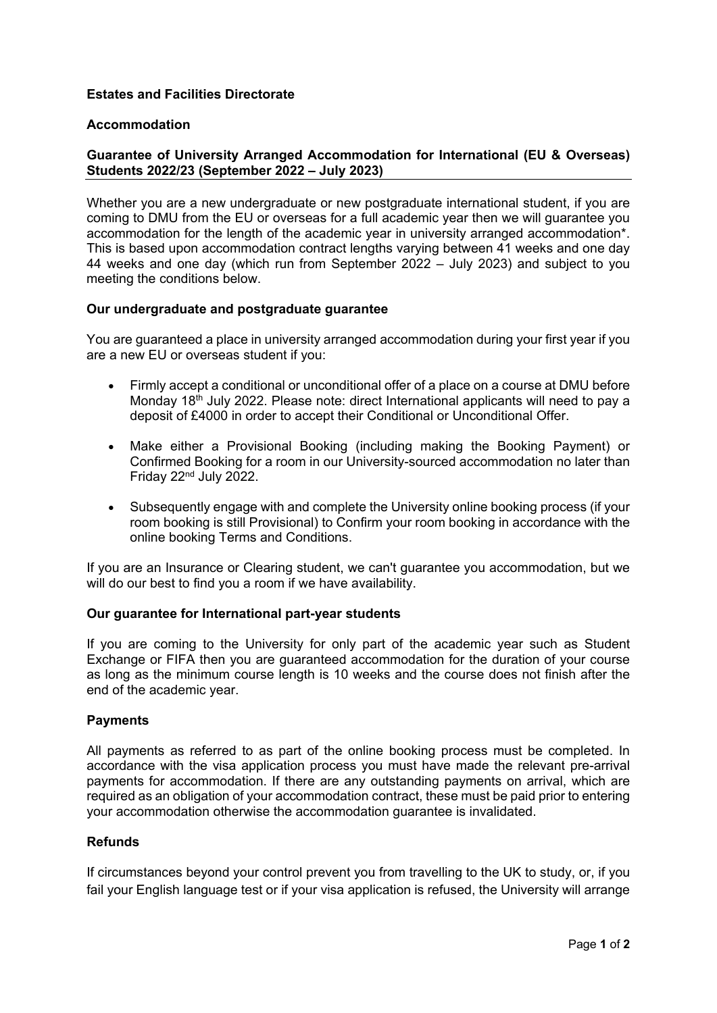### **Estates and Facilities Directorate**

#### **Accommodation**

# **Guarantee of University Arranged Accommodation for International (EU & Overseas) Students 2022/23 (September 2022 – July 2023)**

Whether you are a new undergraduate or new postgraduate international student, if you are coming to DMU from the EU or overseas for a full academic year then we will guarantee you accommodation for the length of the academic year in university arranged accommodation\*. This is based upon accommodation contract lengths varying between 41 weeks and one day 44 weeks and one day (which run from September 2022 – July 2023) and subject to you meeting the conditions below.

#### **Our undergraduate and postgraduate guarantee**

You are guaranteed a place in university arranged accommodation during your first year if you are a new EU or overseas student if you:

- Firmly accept a conditional or unconditional offer of a place on a course at DMU before Monday 18<sup>th</sup> July 2022. Please note: direct International applicants will need to pay a deposit of £4000 in order to accept their Conditional or Unconditional Offer.
- Make either a Provisional Booking (including making the Booking Payment) or Confirmed Booking for a room in our University-sourced accommodation no later than Friday 22nd July 2022.
- Subsequently engage with and complete the University online booking process (if your room booking is still Provisional) to Confirm your room booking in accordance with the online booking Terms and Conditions.

If you are an Insurance or Clearing student, we can't guarantee you accommodation, but we will do our best to find you a room if we have availability.

#### **Our guarantee for International part-year students**

If you are coming to the University for only part of the academic year such as Student Exchange or FIFA then you are guaranteed accommodation for the duration of your course as long as the minimum course length is 10 weeks and the course does not finish after the end of the academic year.

#### **Payments**

All payments as referred to as part of the online booking process must be completed. In accordance with the visa application process you must have made the relevant pre-arrival payments for accommodation. If there are any outstanding payments on arrival, which are required as an obligation of your accommodation contract, these must be paid prior to entering your accommodation otherwise the accommodation guarantee is invalidated.

# **Refunds**

If circumstances beyond your control prevent you from travelling to the UK to study, or, if you fail your English language test or if your visa application is refused, the University will arrange